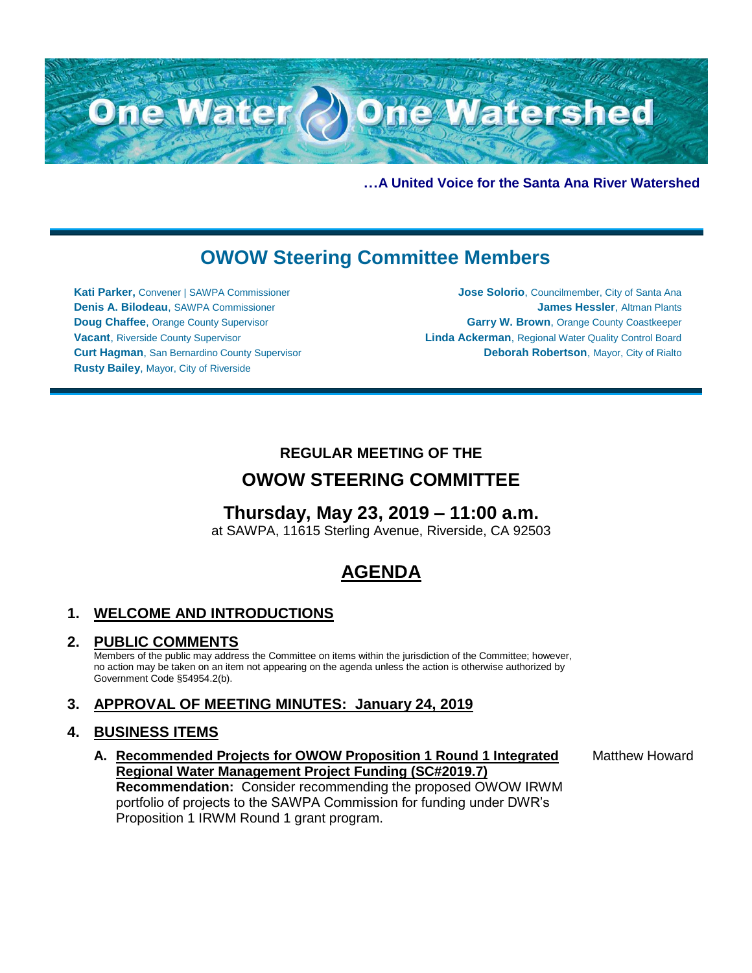

**…A United Voice for the Santa Ana River Watershed**

# **OWOW Steering Committee Members**

**Kati Parker,** Convener | SAWPA Commissioner **Denis A. Bilodeau**, SAWPA Commissioner **Doug Chaffee**, Orange County Supervisor **Vacant**, Riverside County Supervisor **Curt Hagman**, San Bernardino County Supervisor **Rusty Bailey**, Mayor, City of Riverside

**Jose Solorio**, Councilmember, City of Santa Ana **James Hessler**, Altman Plants **Garry W. Brown**, Orange County Coastkeeper **Linda Ackerman**, Regional Water Quality Control Board **Deborah Robertson**, Mayor, City of Rialto

## **REGULAR MEETING OF THE**

## **OWOW STEERING COMMITTEE**

## **Thursday, May 23, 2019 – 11:00 a.m.**

at SAWPA, 11615 Sterling Avenue, Riverside, CA 92503

# **AGENDA**

## **1. WELCOME AND INTRODUCTIONS**

### **2. PUBLIC COMMENTS**

Members of the public may address the Committee on items within the jurisdiction of the Committee; however, no action may be taken on an item not appearing on the agenda unless the action is otherwise authorized by Government Code §54954.2(b).

## **3. APPROVAL OF MEETING MINUTES: January 24, 2019**

### **4. BUSINESS ITEMS**

**A. Recommended Projects for OWOW Proposition 1 Round 1 Integrated Regional Water Management Project Funding (SC#2019.7) Recommendation:** Consider recommending the proposed OWOW IRWM portfolio of projects to the SAWPA Commission for funding under DWR's Proposition 1 IRWM Round 1 grant program.

Matthew Howard